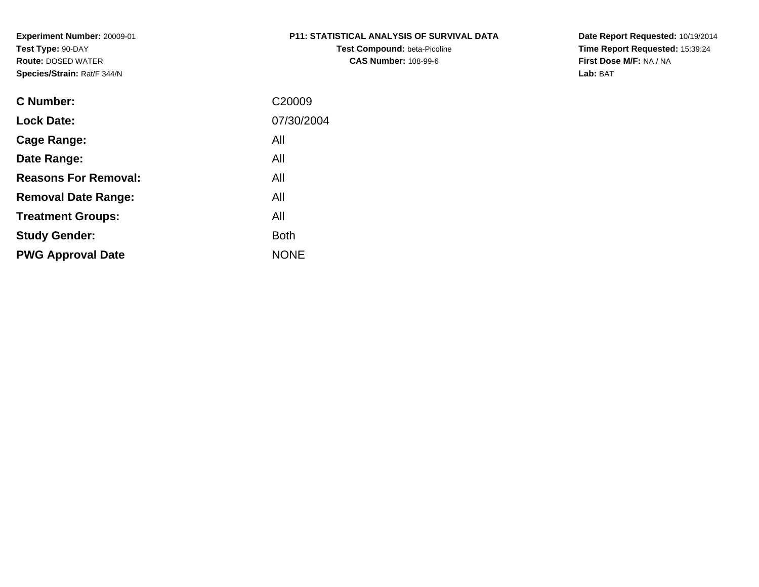# **P11: STATISTICAL ANALYSIS OF SURVIVAL DATA**

**Test Compound:** beta-Picoline**CAS Number:** 108-99-6

**Date Report Requested:** 10/19/2014 **Time Report Requested:** 15:39:24**First Dose M/F:** NA / NA**Lab:** BAT

| <b>C</b> Number:            | C <sub>20009</sub> |
|-----------------------------|--------------------|
| <b>Lock Date:</b>           | 07/30/2004         |
| Cage Range:                 | All                |
| Date Range:                 | All                |
| <b>Reasons For Removal:</b> | All                |
| <b>Removal Date Range:</b>  | All                |
| <b>Treatment Groups:</b>    | All                |
| <b>Study Gender:</b>        | <b>Both</b>        |
| <b>PWG Approval Date</b>    | <b>NONE</b>        |
|                             |                    |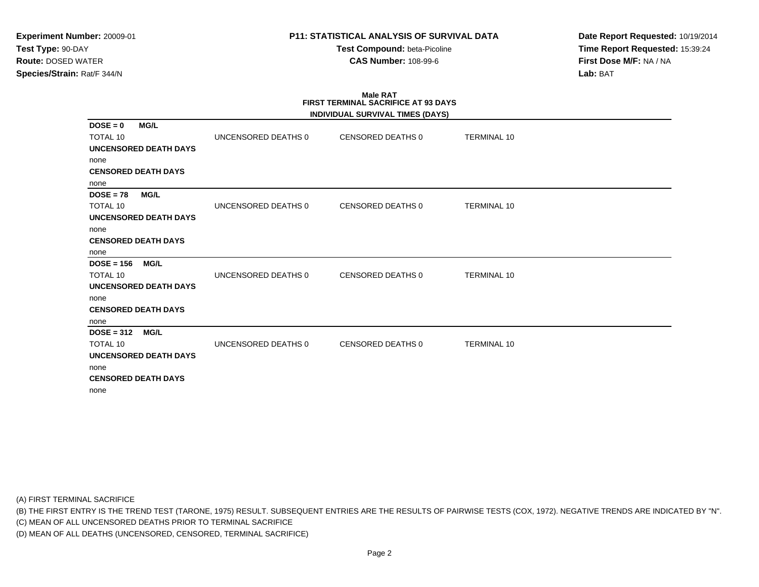**Test Compound:** beta-Picoline**CAS Number:** 108-99-6

**Date Report Requested:** 10/19/2014**Time Report Requested:** 15:39:24**First Dose M/F:** NA / NA**Lab:** BAT

#### **Male RAT FIRST TERMINAL SACRIFICE AT 93 DAYSINDIVIDUAL SURVIVAL TIMES (DAYS)**

|                                                                                                                                                                                                                                                                                            |                                                                                          | <b>TERMINAL 10</b>                                                                                                                        |
|--------------------------------------------------------------------------------------------------------------------------------------------------------------------------------------------------------------------------------------------------------------------------------------------|------------------------------------------------------------------------------------------|-------------------------------------------------------------------------------------------------------------------------------------------|
|                                                                                                                                                                                                                                                                                            |                                                                                          |                                                                                                                                           |
|                                                                                                                                                                                                                                                                                            |                                                                                          |                                                                                                                                           |
|                                                                                                                                                                                                                                                                                            |                                                                                          |                                                                                                                                           |
|                                                                                                                                                                                                                                                                                            |                                                                                          |                                                                                                                                           |
|                                                                                                                                                                                                                                                                                            |                                                                                          |                                                                                                                                           |
|                                                                                                                                                                                                                                                                                            |                                                                                          | <b>TERMINAL 10</b>                                                                                                                        |
|                                                                                                                                                                                                                                                                                            |                                                                                          |                                                                                                                                           |
|                                                                                                                                                                                                                                                                                            |                                                                                          |                                                                                                                                           |
|                                                                                                                                                                                                                                                                                            |                                                                                          |                                                                                                                                           |
|                                                                                                                                                                                                                                                                                            |                                                                                          |                                                                                                                                           |
|                                                                                                                                                                                                                                                                                            |                                                                                          |                                                                                                                                           |
|                                                                                                                                                                                                                                                                                            |                                                                                          | <b>TERMINAL 10</b>                                                                                                                        |
|                                                                                                                                                                                                                                                                                            |                                                                                          |                                                                                                                                           |
|                                                                                                                                                                                                                                                                                            |                                                                                          |                                                                                                                                           |
|                                                                                                                                                                                                                                                                                            |                                                                                          |                                                                                                                                           |
|                                                                                                                                                                                                                                                                                            |                                                                                          |                                                                                                                                           |
|                                                                                                                                                                                                                                                                                            |                                                                                          |                                                                                                                                           |
|                                                                                                                                                                                                                                                                                            |                                                                                          | <b>TERMINAL 10</b>                                                                                                                        |
|                                                                                                                                                                                                                                                                                            |                                                                                          |                                                                                                                                           |
|                                                                                                                                                                                                                                                                                            |                                                                                          |                                                                                                                                           |
|                                                                                                                                                                                                                                                                                            |                                                                                          |                                                                                                                                           |
|                                                                                                                                                                                                                                                                                            |                                                                                          |                                                                                                                                           |
| UNCENSORED DEATH DAYS<br><b>CENSORED DEATH DAYS</b><br><b>MG/L</b><br><b>UNCENSORED DEATH DAYS</b><br><b>CENSORED DEATH DAYS</b><br><b>MG/L</b><br><b>UNCENSORED DEATH DAYS</b><br><b>CENSORED DEATH DAYS</b><br><b>MG/L</b><br><b>UNCENSORED DEATH DAYS</b><br><b>CENSORED DEATH DAYS</b> | UNCENSORED DEATHS 0<br>UNCENSORED DEATHS 0<br>UNCENSORED DEATHS 0<br>UNCENSORED DEATHS 0 | INDIVIDUAL SURVIVAL TIMES (DAYS)<br>CENSORED DEATHS 0<br><b>CENSORED DEATHS 0</b><br><b>CENSORED DEATHS 0</b><br><b>CENSORED DEATHS 0</b> |

(A) FIRST TERMINAL SACRIFICE

(B) THE FIRST ENTRY IS THE TREND TEST (TARONE, 1975) RESULT. SUBSEQUENT ENTRIES ARE THE RESULTS OF PAIRWISE TESTS (COX, 1972). NEGATIVE TRENDS ARE INDICATED BY "N".

(C) MEAN OF ALL UNCENSORED DEATHS PRIOR TO TERMINAL SACRIFICE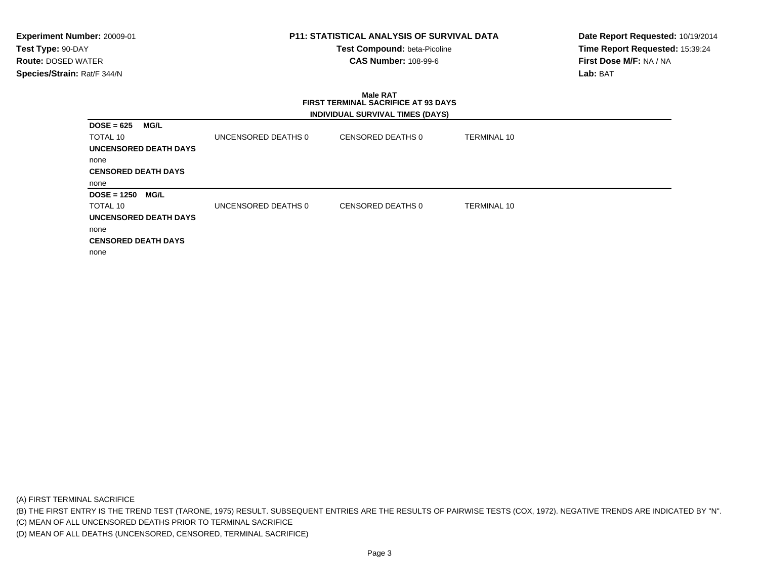# **P11: STATISTICAL ANALYSIS OF SURVIVAL DATA**

**Test Compound:** beta-Picoline**CAS Number:** 108-99-6

**Date Report Requested:** 10/19/2014**Time Report Requested:** 15:39:24**First Dose M/F:** NA / NA**Lab:** BAT

# **Male RAT FIRST TERMINAL SACRIFICE AT 93 DAYSINDIVIDUAL SURVIVAL TIMES (DAYS)**

| $DOSE = 625$                 | MG/L |                     |                   |                    |
|------------------------------|------|---------------------|-------------------|--------------------|
| <b>TOTAL 10</b>              |      | UNCENSORED DEATHS 0 | CENSORED DEATHS 0 | <b>TERMINAL 10</b> |
| <b>UNCENSORED DEATH DAYS</b> |      |                     |                   |                    |
| none                         |      |                     |                   |                    |
| <b>CENSORED DEATH DAYS</b>   |      |                     |                   |                    |
| none                         |      |                     |                   |                    |
|                              |      |                     |                   |                    |
| $DOSE = 1250$                | MG/L |                     |                   |                    |
| TOTAL 10                     |      | UNCENSORED DEATHS 0 | CENSORED DEATHS 0 | <b>TERMINAL 10</b> |
| UNCENSORED DEATH DAYS        |      |                     |                   |                    |
| none                         |      |                     |                   |                    |
| <b>CENSORED DEATH DAYS</b>   |      |                     |                   |                    |

(A) FIRST TERMINAL SACRIFICE

(B) THE FIRST ENTRY IS THE TREND TEST (TARONE, 1975) RESULT. SUBSEQUENT ENTRIES ARE THE RESULTS OF PAIRWISE TESTS (COX, 1972). NEGATIVE TRENDS ARE INDICATED BY "N".

(C) MEAN OF ALL UNCENSORED DEATHS PRIOR TO TERMINAL SACRIFICE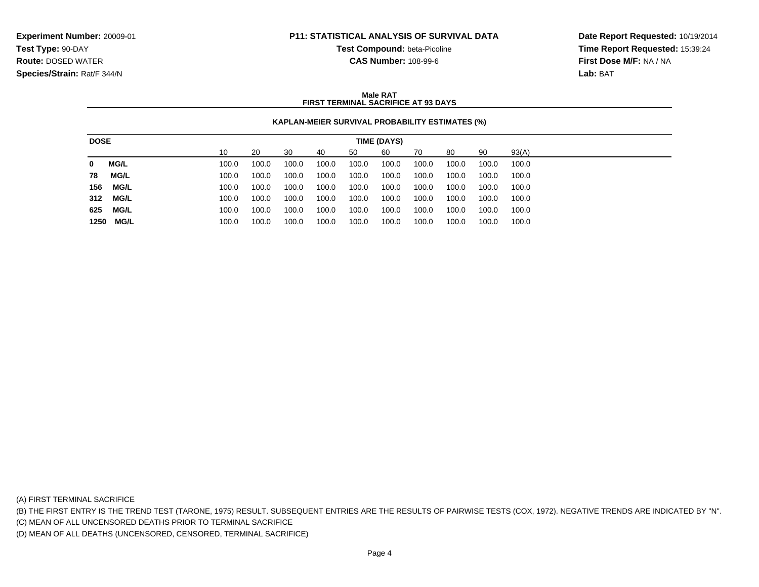**Test Compound:** beta-Picoline

**CAS Number:** 108-99-6

**Date Report Requested:** 10/19/2014**Time Report Requested:** 15:39:24**First Dose M/F:** NA / NA**Lab:** BAT

### **Male RATFIRST TERMINAL SACRIFICE AT 93 DAYS**

## **KAPLAN-MEIER SURVIVAL PROBABILITY ESTIMATES (%)**

| <b>DOSE</b> |             | TIME (DAYS) |       |       |       |       |       |       |       |       |       |       |
|-------------|-------------|-------------|-------|-------|-------|-------|-------|-------|-------|-------|-------|-------|
|             |             |             | 10    | 20    | 30    | 40    | 50    | 60    | 70    | 80    | 90    | 93(A) |
| 0           | <b>MG/L</b> |             | 100.0 | 100.0 | 100.0 | 100.0 | 100.0 | 100.0 | 100.0 | 100.0 | 100.0 | 100.0 |
| 78          | MG/L        |             | 100.0 | 100.0 | 100.0 | 100.0 | 100.0 | 100.0 | 100.0 | 100.0 | 100.0 | 100.0 |
| 156         | MG/L        |             | 100.0 | 100.0 | 100.0 | 100.0 | 100.0 | 100.0 | 100.0 | 100.0 | 100.0 | 100.0 |
| 312         | MG/L        |             | 100.0 | 100.0 | 100.0 | 100.0 | 100.0 | 100.0 | 100.0 | 100.0 | 100.0 | 100.0 |
| 625         | MG/L        |             | 100.0 | 100.0 | 100.0 | 100.0 | 100.0 | 100.0 | 100.0 | 100.0 | 100.0 | 100.0 |
| 1250        | MG/L        |             | 100.0 | 100.0 | 100.0 | 100.0 | 100.0 | 100.0 | 100.0 | 100.0 | 100.0 | 100.0 |

(A) FIRST TERMINAL SACRIFICE

(B) THE FIRST ENTRY IS THE TREND TEST (TARONE, 1975) RESULT. SUBSEQUENT ENTRIES ARE THE RESULTS OF PAIRWISE TESTS (COX, 1972). NEGATIVE TRENDS ARE INDICATED BY "N".

(C) MEAN OF ALL UNCENSORED DEATHS PRIOR TO TERMINAL SACRIFICE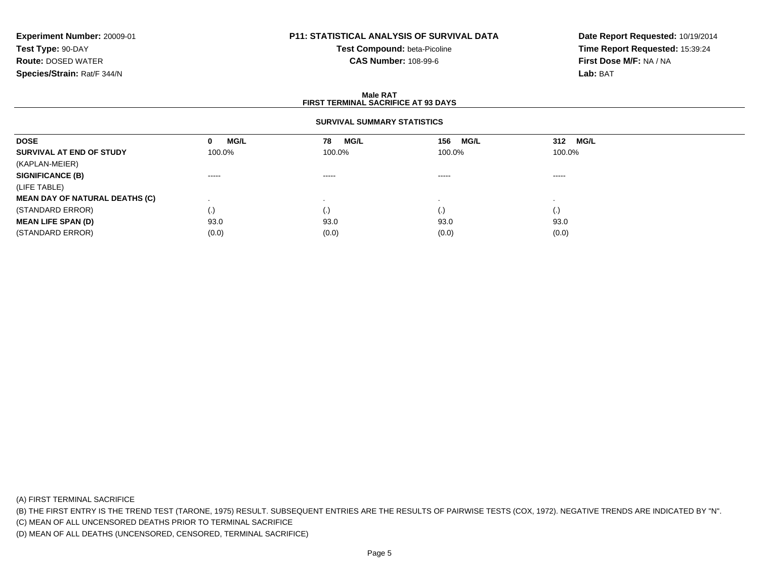# **P11: STATISTICAL ANALYSIS OF SURVIVAL DATA**

**Test Compound:** beta-Picoline**CAS Number:** 108-99-6

**Date Report Requested:** 10/19/2014**Time Report Requested:** 15:39:24**First Dose M/F:** NA / NA**Lab:** BAT

### **Male RATFIRST TERMINAL SACRIFICE AT 93 DAYS**

## **SURVIVAL SUMMARY STATISTICS**

| <b>DOSE</b>                           | <b>MG/L</b><br>0   | MG/L<br>78         | MG/L<br>156 | 312 MG/L |
|---------------------------------------|--------------------|--------------------|-------------|----------|
| SURVIVAL AT END OF STUDY              | 100.0%             | 100.0%             | 100.0%      | 100.0%   |
| (KAPLAN-MEIER)                        |                    |                    |             |          |
| <b>SIGNIFICANCE (B)</b>               | ------             | ------             | $\cdots$    | $\cdots$ |
| (LIFE TABLE)                          |                    |                    |             |          |
| <b>MEAN DAY OF NATURAL DEATHS (C)</b> |                    |                    |             |          |
| (STANDARD ERROR)                      | $\left( . \right)$ | $\left( . \right)$ | $\cdot$     | (.)      |
| <b>MEAN LIFE SPAN (D)</b>             | 93.0               | 93.0               | 93.0        | 93.0     |
| (STANDARD ERROR)                      | (0.0)              | (0.0)              | (0.0)       | (0.0)    |

(A) FIRST TERMINAL SACRIFICE

(B) THE FIRST ENTRY IS THE TREND TEST (TARONE, 1975) RESULT. SUBSEQUENT ENTRIES ARE THE RESULTS OF PAIRWISE TESTS (COX, 1972). NEGATIVE TRENDS ARE INDICATED BY "N".

(C) MEAN OF ALL UNCENSORED DEATHS PRIOR TO TERMINAL SACRIFICE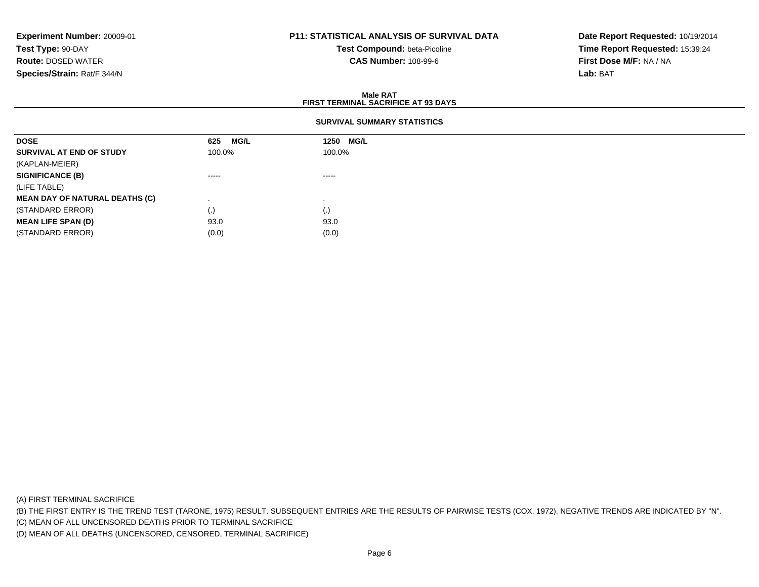# **P11: STATISTICAL ANALYSIS OF SURVIVAL DATA**

**Test Compound:** beta-Picoline**CAS Number:** 108-99-6

**Date Report Requested:** 10/19/2014**Time Report Requested:** 15:39:24**First Dose M/F:** NA / NA**Lab:** BAT

### **Male RATFIRST TERMINAL SACRIFICE AT 93 DAYS**

## **SURVIVAL SUMMARY STATISTICS**

| <b>DOSE</b>                           | 625<br>MG/L | 1250 MG/L |  |
|---------------------------------------|-------------|-----------|--|
| SURVIVAL AT END OF STUDY              | 100.0%      | 100.0%    |  |
| (KAPLAN-MEIER)                        |             |           |  |
| <b>SIGNIFICANCE (B)</b>               | $\cdots$    | $\cdots$  |  |
| (LIFE TABLE)                          |             |           |  |
| <b>MEAN DAY OF NATURAL DEATHS (C)</b> |             |           |  |
| (STANDARD ERROR)                      | (.)         | (.)       |  |
| <b>MEAN LIFE SPAN (D)</b>             | 93.0        | 93.0      |  |
| (STANDARD ERROR)                      | (0.0)       | (0.0)     |  |

(A) FIRST TERMINAL SACRIFICE

(B) THE FIRST ENTRY IS THE TREND TEST (TARONE, 1975) RESULT. SUBSEQUENT ENTRIES ARE THE RESULTS OF PAIRWISE TESTS (COX, 1972). NEGATIVE TRENDS ARE INDICATED BY "N".

(C) MEAN OF ALL UNCENSORED DEATHS PRIOR TO TERMINAL SACRIFICE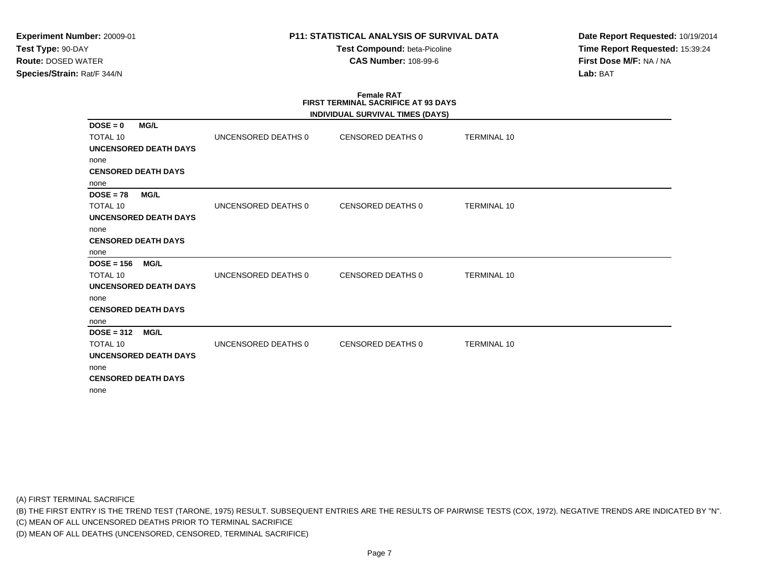**Test Compound:** beta-Picoline**CAS Number:** 108-99-6

**Date Report Requested:** 10/19/2014**Time Report Requested:** 15:39:24**First Dose M/F:** NA / NA**Lab:** BAT

### **Female RAT FIRST TERMINAL SACRIFICE AT 93 DAYSINDIVIDUAL SURVIVAL TIMES (DAYS)**

|                                              |                     | INDIVIDUAL SURVIVAL TIMES (DATS) |                    |  |
|----------------------------------------------|---------------------|----------------------------------|--------------------|--|
| $DOSE = 0$<br><b>MG/L</b><br><b>TOTAL 10</b> | UNCENSORED DEATHS 0 | CENSORED DEATHS 0                | <b>TERMINAL 10</b> |  |
| UNCENSORED DEATH DAYS                        |                     |                                  |                    |  |
| none                                         |                     |                                  |                    |  |
| <b>CENSORED DEATH DAYS</b>                   |                     |                                  |                    |  |
| none                                         |                     |                                  |                    |  |
| <b>MG/L</b><br>$DOSE = 78$                   |                     |                                  |                    |  |
| <b>TOTAL 10</b>                              | UNCENSORED DEATHS 0 | CENSORED DEATHS 0                | <b>TERMINAL 10</b> |  |
| <b>UNCENSORED DEATH DAYS</b>                 |                     |                                  |                    |  |
| none                                         |                     |                                  |                    |  |
| <b>CENSORED DEATH DAYS</b>                   |                     |                                  |                    |  |
| none                                         |                     |                                  |                    |  |
| $DOSE = 156$<br><b>MG/L</b>                  |                     |                                  |                    |  |
| <b>TOTAL 10</b>                              | UNCENSORED DEATHS 0 | CENSORED DEATHS 0                | <b>TERMINAL 10</b> |  |
| <b>UNCENSORED DEATH DAYS</b>                 |                     |                                  |                    |  |
| none                                         |                     |                                  |                    |  |
| <b>CENSORED DEATH DAYS</b>                   |                     |                                  |                    |  |
| none                                         |                     |                                  |                    |  |
| $DOSE = 312$<br><b>MG/L</b>                  |                     |                                  |                    |  |
| <b>TOTAL 10</b>                              | UNCENSORED DEATHS 0 | CENSORED DEATHS 0                | <b>TERMINAL 10</b> |  |
| <b>UNCENSORED DEATH DAYS</b>                 |                     |                                  |                    |  |
| none                                         |                     |                                  |                    |  |
| <b>CENSORED DEATH DAYS</b>                   |                     |                                  |                    |  |
| none                                         |                     |                                  |                    |  |
|                                              |                     |                                  |                    |  |

(A) FIRST TERMINAL SACRIFICE

(B) THE FIRST ENTRY IS THE TREND TEST (TARONE, 1975) RESULT. SUBSEQUENT ENTRIES ARE THE RESULTS OF PAIRWISE TESTS (COX, 1972). NEGATIVE TRENDS ARE INDICATED BY "N".

(C) MEAN OF ALL UNCENSORED DEATHS PRIOR TO TERMINAL SACRIFICE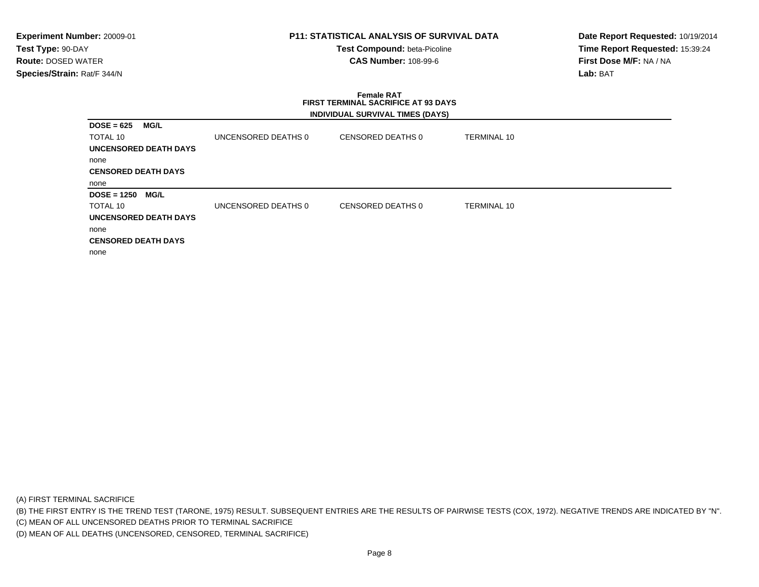## **P11: STATISTICAL ANALYSIS OF SURVIVAL DATA**

**Test Compound:** beta-Picoline**CAS Number:** 108-99-6

**Date Report Requested:** 10/19/2014**Time Report Requested:** 15:39:24**First Dose M/F:** NA / NA**Lab:** BAT

# **Female RAT FIRST TERMINAL SACRIFICE AT 93 DAYSINDIVIDUAL SURVIVAL TIMES (DAYS)**

| $DOSE = 625$               | MG/L                  |                     |                   |                    |
|----------------------------|-----------------------|---------------------|-------------------|--------------------|
| <b>TOTAL 10</b>            |                       | UNCENSORED DEATHS 0 | CENSORED DEATHS 0 | <b>TERMINAL 10</b> |
|                            | UNCENSORED DEATH DAYS |                     |                   |                    |
| none                       |                       |                     |                   |                    |
| <b>CENSORED DEATH DAYS</b> |                       |                     |                   |                    |
| none                       |                       |                     |                   |                    |
| $DOSE = 1250$              | MG/L                  |                     |                   |                    |
|                            |                       |                     |                   |                    |
| <b>TOTAL 10</b>            |                       | UNCENSORED DEATHS 0 | CENSORED DEATHS 0 | <b>TERMINAL 10</b> |
|                            | UNCENSORED DEATH DAYS |                     |                   |                    |
| none                       |                       |                     |                   |                    |
| <b>CENSORED DEATH DAYS</b> |                       |                     |                   |                    |

(A) FIRST TERMINAL SACRIFICE

(B) THE FIRST ENTRY IS THE TREND TEST (TARONE, 1975) RESULT. SUBSEQUENT ENTRIES ARE THE RESULTS OF PAIRWISE TESTS (COX, 1972). NEGATIVE TRENDS ARE INDICATED BY "N".

(C) MEAN OF ALL UNCENSORED DEATHS PRIOR TO TERMINAL SACRIFICE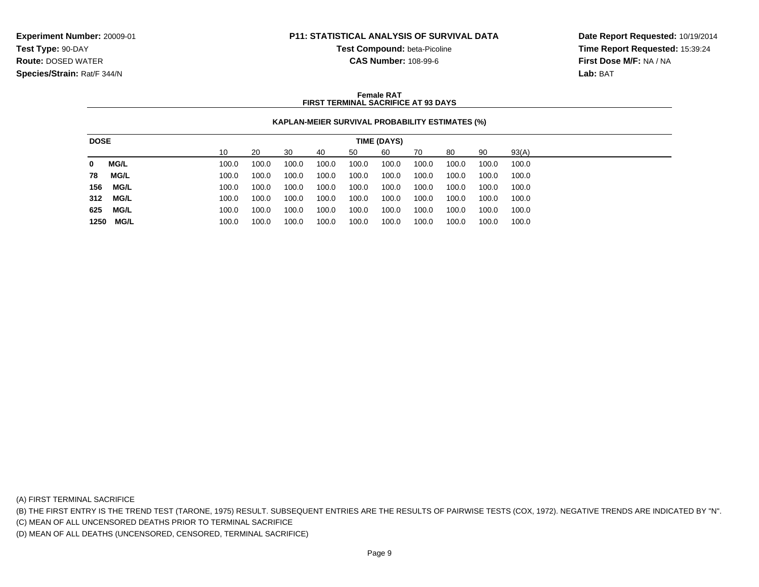**Test Compound:** beta-Picoline

**CAS Number:** 108-99-6

**Date Report Requested:** 10/19/2014**Time Report Requested:** 15:39:24**First Dose M/F:** NA / NA**Lab:** BAT

### **Female RATFIRST TERMINAL SACRIFICE AT 93 DAYS**

## **KAPLAN-MEIER SURVIVAL PROBABILITY ESTIMATES (%)**

| <b>DOSE</b> |             | TIME (DAYS) |       |       |       |       |       |       |       |       |       |       |
|-------------|-------------|-------------|-------|-------|-------|-------|-------|-------|-------|-------|-------|-------|
|             |             |             | 10    | 20    | 30    | 40    | 50    | 60    | 70    | 80    | 90    | 93(A) |
| 0           | <b>MG/L</b> |             | 100.0 | 100.0 | 100.0 | 100.0 | 100.0 | 100.0 | 100.0 | 100.0 | 100.0 | 100.0 |
| 78          | <b>MG/L</b> |             | 100.0 | 100.0 | 100.0 | 100.0 | 100.0 | 100.0 | 100.0 | 100.0 | 100.0 | 100.0 |
| 156         | <b>MG/L</b> |             | 100.0 | 100.0 | 100.0 | 100.0 | 100.0 | 100.0 | 100.0 | 100.0 | 100.0 | 100.0 |
| 312         | <b>MG/L</b> |             | 100.0 | 100.0 | 100.0 | 100.0 | 100.0 | 100.0 | 100.0 | 100.0 | 100.0 | 100.0 |
| 625         | MG/L        |             | 100.0 | 100.0 | 100.0 | 100.0 | 100.0 | 100.0 | 100.0 | 100.0 | 100.0 | 100.0 |
|             | 1250 MG/L   |             | 100.0 | 100.0 | 100.0 | 100.0 | 100.0 | 100.0 | 100.0 | 100.0 | 100.0 | 100.0 |

(A) FIRST TERMINAL SACRIFICE

(B) THE FIRST ENTRY IS THE TREND TEST (TARONE, 1975) RESULT. SUBSEQUENT ENTRIES ARE THE RESULTS OF PAIRWISE TESTS (COX, 1972). NEGATIVE TRENDS ARE INDICATED BY "N".

(C) MEAN OF ALL UNCENSORED DEATHS PRIOR TO TERMINAL SACRIFICE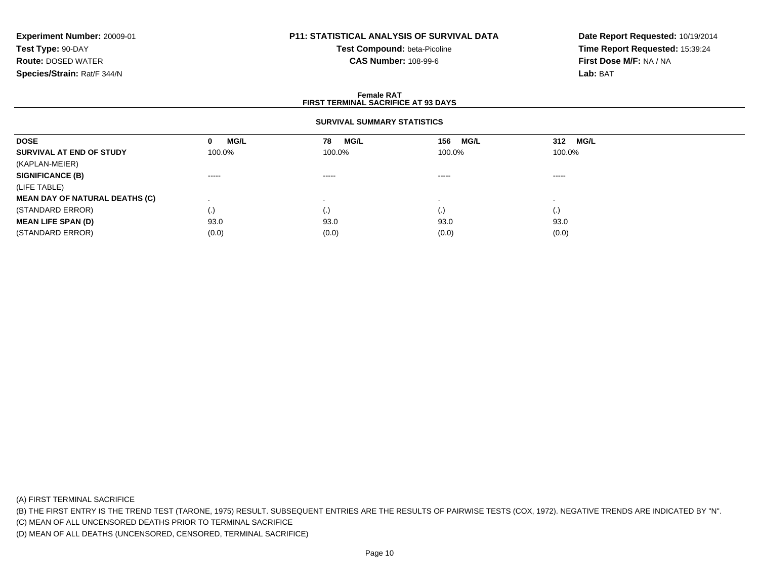# **P11: STATISTICAL ANALYSIS OF SURVIVAL DATA**

**Test Compound:** beta-Picoline**CAS Number:** 108-99-6

**Date Report Requested:** 10/19/2014**Time Report Requested:** 15:39:24**First Dose M/F:** NA / NA**Lab:** BAT

### **Female RATFIRST TERMINAL SACRIFICE AT 93 DAYS**

## **SURVIVAL SUMMARY STATISTICS**

| <b>DOSE</b>                           | <b>MG/L</b><br>0 | MG/L<br>78                                                                                                                                                                                                                                                                                                                                                                                                                                                                             | <b>MG/L</b><br>156     | 312 MG/L                                                                                                                                                                                                                                                                                                                                                                                                                                                                               |  |
|---------------------------------------|------------------|----------------------------------------------------------------------------------------------------------------------------------------------------------------------------------------------------------------------------------------------------------------------------------------------------------------------------------------------------------------------------------------------------------------------------------------------------------------------------------------|------------------------|----------------------------------------------------------------------------------------------------------------------------------------------------------------------------------------------------------------------------------------------------------------------------------------------------------------------------------------------------------------------------------------------------------------------------------------------------------------------------------------|--|
| SURVIVAL AT END OF STUDY              | 100.0%           | 100.0%                                                                                                                                                                                                                                                                                                                                                                                                                                                                                 | 100.0%                 | 100.0%                                                                                                                                                                                                                                                                                                                                                                                                                                                                                 |  |
| (KAPLAN-MEIER)                        |                  |                                                                                                                                                                                                                                                                                                                                                                                                                                                                                        |                        |                                                                                                                                                                                                                                                                                                                                                                                                                                                                                        |  |
| <b>SIGNIFICANCE (B)</b>               | $\cdots$         | $\begin{array}{cccccccccccccc} \multicolumn{2}{c}{} & \multicolumn{2}{c}{} & \multicolumn{2}{c}{} & \multicolumn{2}{c}{} & \multicolumn{2}{c}{} & \multicolumn{2}{c}{} & \multicolumn{2}{c}{} & \multicolumn{2}{c}{} & \multicolumn{2}{c}{} & \multicolumn{2}{c}{} & \multicolumn{2}{c}{} & \multicolumn{2}{c}{} & \multicolumn{2}{c}{} & \multicolumn{2}{c}{} & \multicolumn{2}{c}{} & \multicolumn{2}{c}{} & \multicolumn{2}{c}{} & \multicolumn{2}{c}{} & \multicolumn{2}{c}{} & \$ | $\cdots \cdots \cdots$ | $\begin{array}{cccccccccccccc} \multicolumn{2}{c}{} & \multicolumn{2}{c}{} & \multicolumn{2}{c}{} & \multicolumn{2}{c}{} & \multicolumn{2}{c}{} & \multicolumn{2}{c}{} & \multicolumn{2}{c}{} & \multicolumn{2}{c}{} & \multicolumn{2}{c}{} & \multicolumn{2}{c}{} & \multicolumn{2}{c}{} & \multicolumn{2}{c}{} & \multicolumn{2}{c}{} & \multicolumn{2}{c}{} & \multicolumn{2}{c}{} & \multicolumn{2}{c}{} & \multicolumn{2}{c}{} & \multicolumn{2}{c}{} & \multicolumn{2}{c}{} & \$ |  |
| (LIFE TABLE)                          |                  |                                                                                                                                                                                                                                                                                                                                                                                                                                                                                        |                        |                                                                                                                                                                                                                                                                                                                                                                                                                                                                                        |  |
| <b>MEAN DAY OF NATURAL DEATHS (C)</b> |                  |                                                                                                                                                                                                                                                                                                                                                                                                                                                                                        |                        |                                                                                                                                                                                                                                                                                                                                                                                                                                                                                        |  |
| (STANDARD ERROR)                      | (.)              | $\cdot$ ,                                                                                                                                                                                                                                                                                                                                                                                                                                                                              | $\cdot$                | $\cdot$                                                                                                                                                                                                                                                                                                                                                                                                                                                                                |  |
| <b>MEAN LIFE SPAN (D)</b>             | 93.0             | 93.0                                                                                                                                                                                                                                                                                                                                                                                                                                                                                   | 93.0                   | 93.0                                                                                                                                                                                                                                                                                                                                                                                                                                                                                   |  |
| (STANDARD ERROR)                      | (0.0)            | (0.0)                                                                                                                                                                                                                                                                                                                                                                                                                                                                                  | (0.0)                  | (0.0)                                                                                                                                                                                                                                                                                                                                                                                                                                                                                  |  |

(A) FIRST TERMINAL SACRIFICE

(B) THE FIRST ENTRY IS THE TREND TEST (TARONE, 1975) RESULT. SUBSEQUENT ENTRIES ARE THE RESULTS OF PAIRWISE TESTS (COX, 1972). NEGATIVE TRENDS ARE INDICATED BY "N".

(C) MEAN OF ALL UNCENSORED DEATHS PRIOR TO TERMINAL SACRIFICE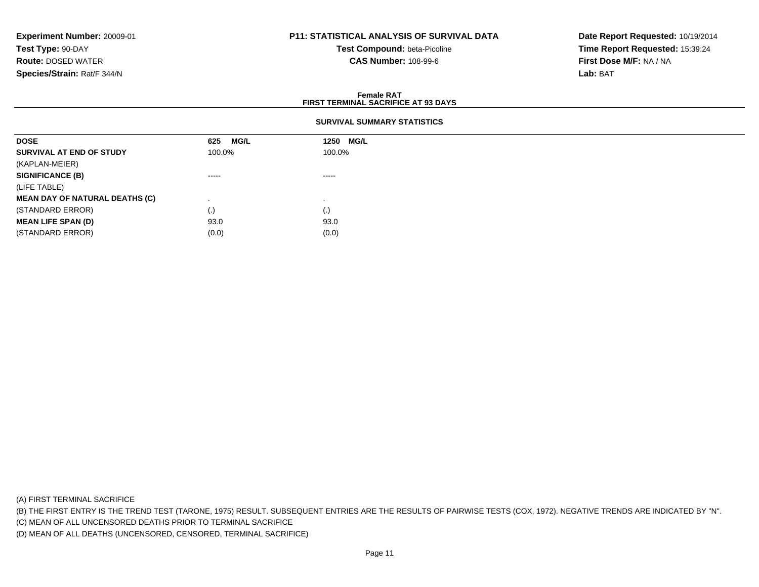## **P11: STATISTICAL ANALYSIS OF SURVIVAL DATA**

**Test Compound:** beta-Picoline**CAS Number:** 108-99-6

**Date Report Requested:** 10/19/2014**Time Report Requested:** 15:39:24**First Dose M/F:** NA / NA**Lab:** BAT

#### **Female RATFIRST TERMINAL SACRIFICE AT 93 DAYS**

### **SURVIVAL SUMMARY STATISTICS**

| <b>DOSE</b>                           | <b>MG/L</b><br>625 | 1250 MG/L |  |
|---------------------------------------|--------------------|-----------|--|
| SURVIVAL AT END OF STUDY              | 100.0%             | 100.0%    |  |
| (KAPLAN-MEIER)                        |                    |           |  |
| <b>SIGNIFICANCE (B)</b>               | -----              | -----     |  |
| (LIFE TABLE)                          |                    |           |  |
| <b>MEAN DAY OF NATURAL DEATHS (C)</b> |                    |           |  |
| (STANDARD ERROR)                      | (.)                | (.)       |  |
| <b>MEAN LIFE SPAN (D)</b>             | 93.0               | 93.0      |  |
| (STANDARD ERROR)                      | (0.0)              | (0.0)     |  |

(A) FIRST TERMINAL SACRIFICE

(B) THE FIRST ENTRY IS THE TREND TEST (TARONE, 1975) RESULT. SUBSEQUENT ENTRIES ARE THE RESULTS OF PAIRWISE TESTS (COX, 1972). NEGATIVE TRENDS ARE INDICATED BY "N".

(C) MEAN OF ALL UNCENSORED DEATHS PRIOR TO TERMINAL SACRIFICE